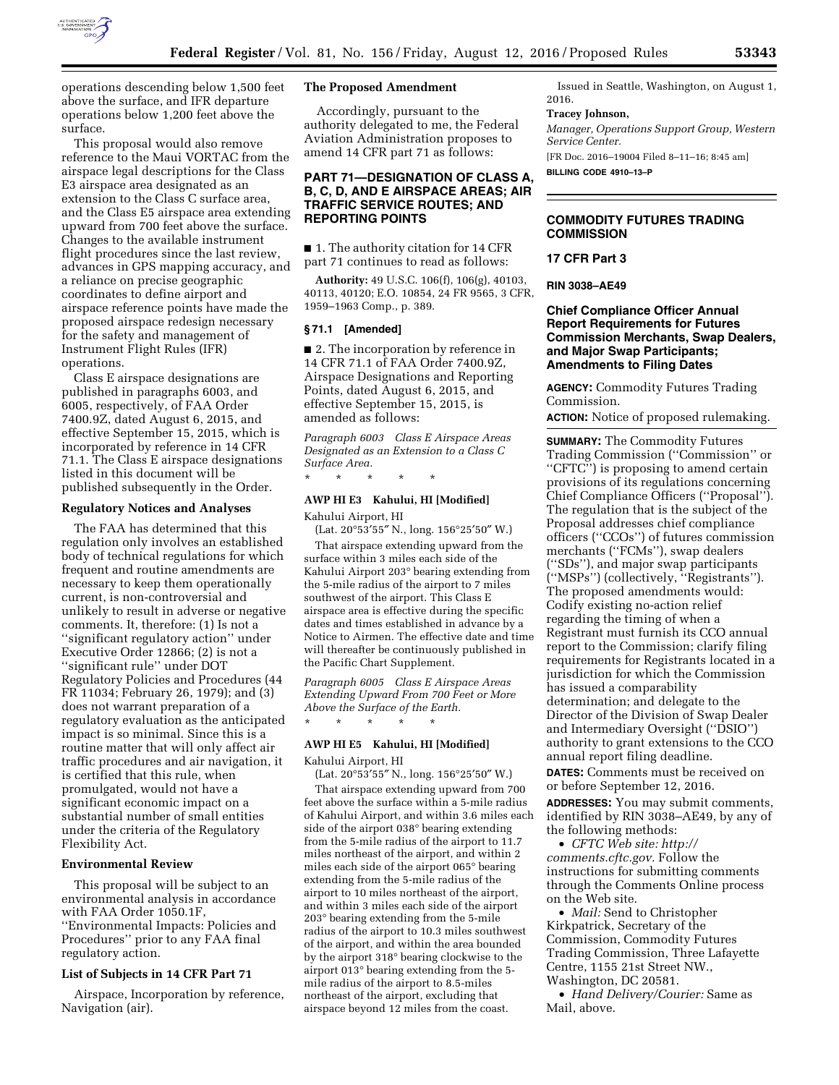

operations descending below 1,500 feet above the surface, and IFR departure operations below 1,200 feet above the surface.

This proposal would also remove reference to the Maui VORTAC from the airspace legal descriptions for the Class E3 airspace area designated as an extension to the Class C surface area, and the Class E5 airspace area extending upward from 700 feet above the surface. Changes to the available instrument flight procedures since the last review, advances in GPS mapping accuracy, and a reliance on precise geographic coordinates to define airport and airspace reference points have made the proposed airspace redesign necessary for the safety and management of Instrument Flight Rules (IFR) operations.

Class E airspace designations are published in paragraphs 6003, and 6005, respectively, of FAA Order 7400.9Z, dated August 6, 2015, and effective September 15, 2015, which is incorporated by reference in 14 CFR 71.1. The Class E airspace designations listed in this document will be published subsequently in the Order.

#### **Regulatory Notices and Analyses**

The FAA has determined that this regulation only involves an established body of technical regulations for which frequent and routine amendments are necessary to keep them operationally current, is non-controversial and unlikely to result in adverse or negative comments. It, therefore: (1) Is not a ''significant regulatory action'' under Executive Order 12866; (2) is not a ''significant rule'' under DOT Regulatory Policies and Procedures (44 FR 11034; February 26, 1979); and (3) does not warrant preparation of a regulatory evaluation as the anticipated impact is so minimal. Since this is a routine matter that will only affect air traffic procedures and air navigation, it is certified that this rule, when promulgated, would not have a significant economic impact on a substantial number of small entities under the criteria of the Regulatory Flexibility Act.

## **Environmental Review**

This proposal will be subject to an environmental analysis in accordance with FAA Order 1050.1F, ''Environmental Impacts: Policies and Procedures'' prior to any FAA final regulatory action.

### **List of Subjects in 14 CFR Part 71**

Airspace, Incorporation by reference, Navigation (air).

## **The Proposed Amendment**

Accordingly, pursuant to the authority delegated to me, the Federal Aviation Administration proposes to amend 14 CFR part 71 as follows:

## **PART 71—DESIGNATION OF CLASS A, B, C, D, AND E AIRSPACE AREAS; AIR TRAFFIC SERVICE ROUTES; AND REPORTING POINTS**

■ 1. The authority citation for 14 CFR part 71 continues to read as follows:

**Authority:** 49 U.S.C. 106(f), 106(g), 40103, 40113, 40120; E.O. 10854, 24 FR 9565, 3 CFR, 1959–1963 Comp., p. 389.

## **§ 71.1 [Amended]**

■ 2. The incorporation by reference in 14 CFR 71.1 of FAA Order 7400.9Z, Airspace Designations and Reporting Points, dated August 6, 2015, and effective September 15, 2015, is amended as follows:

*Paragraph 6003 Class E Airspace Areas Designated as an Extension to a Class C Surface Area.* 

# \* \* \* \* \*

## **AWP HI E3 Kahului, HI [Modified]**

Kahului Airport, HI (Lat. 20°53′55″ N., long. 156°25′50″ W.) That airspace extending upward from the surface within 3 miles each side of the Kahului Airport 203° bearing extending from the 5-mile radius of the airport to 7 miles southwest of the airport. This Class E airspace area is effective during the specific dates and times established in advance by a Notice to Airmen. The effective date and time will thereafter be continuously published in the Pacific Chart Supplement.

*Paragraph 6005 Class E Airspace Areas Extending Upward From 700 Feet or More Above the Surface of the Earth.*  \* \* \* \* \*

## **AWP HI E5 Kahului, HI [Modified]**

## Kahului Airport, HI

(Lat. 20°53′55″ N., long. 156°25′50″ W.)

That airspace extending upward from 700 feet above the surface within a 5-mile radius of Kahului Airport, and within 3.6 miles each side of the airport 038° bearing extending from the 5-mile radius of the airport to 11.7 miles northeast of the airport, and within 2 miles each side of the airport 065° bearing extending from the 5-mile radius of the airport to 10 miles northeast of the airport, and within 3 miles each side of the airport 203° bearing extending from the 5-mile radius of the airport to 10.3 miles southwest of the airport, and within the area bounded by the airport 318° bearing clockwise to the airport 013° bearing extending from the 5 mile radius of the airport to 8.5-miles northeast of the airport, excluding that airspace beyond 12 miles from the coast.

Issued in Seattle, Washington, on August 1, 2016.

#### **Tracey Johnson,**

*Manager, Operations Support Group, Western Service Center.* 

[FR Doc. 2016–19004 Filed 8–11–16; 8:45 am] **BILLING CODE 4910–13–P** 

### **COMMODITY FUTURES TRADING COMMISSION**

#### **17 CFR Part 3**

**RIN 3038–AE49** 

## **Chief Compliance Officer Annual Report Requirements for Futures Commission Merchants, Swap Dealers, and Major Swap Participants; Amendments to Filing Dates**

**AGENCY:** Commodity Futures Trading Commission.

**ACTION:** Notice of proposed rulemaking.

**SUMMARY:** The Commodity Futures Trading Commission (''Commission'' or ''CFTC'') is proposing to amend certain provisions of its regulations concerning Chief Compliance Officers (''Proposal''). The regulation that is the subject of the Proposal addresses chief compliance officers (''CCOs'') of futures commission merchants (''FCMs''), swap dealers (''SDs''), and major swap participants (''MSPs'') (collectively, ''Registrants''). The proposed amendments would: Codify existing no-action relief regarding the timing of when a Registrant must furnish its CCO annual report to the Commission; clarify filing requirements for Registrants located in a jurisdiction for which the Commission has issued a comparability determination; and delegate to the Director of the Division of Swap Dealer and Intermediary Oversight (''DSIO'') authority to grant extensions to the CCO annual report filing deadline.

**DATES:** Comments must be received on or before September 12, 2016.

**ADDRESSES:** You may submit comments, identified by RIN 3038–AE49, by any of the following methods:

• *CFTC Web site: [http://](http://comments.cftc.gov) [comments.cftc.gov.](http://comments.cftc.gov)* Follow the instructions for submitting comments through the Comments Online process on the Web site.

• *Mail:* Send to Christopher Kirkpatrick, Secretary of the Commission, Commodity Futures Trading Commission, Three Lafayette Centre, 1155 21st Street NW., Washington, DC 20581.

• *Hand Delivery/Courier:* Same as Mail, above.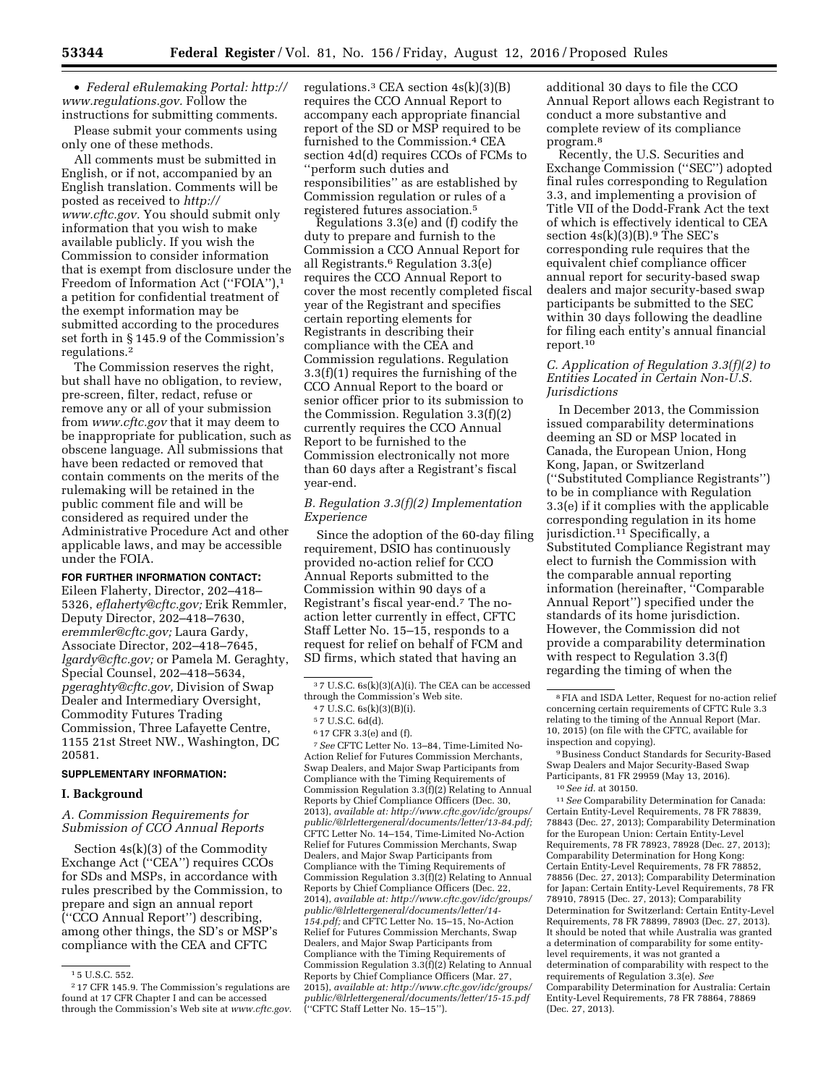• *Federal eRulemaking Portal: [http://](http://www.regulations.gov)  [www.regulations.gov.](http://www.regulations.gov)* Follow the instructions for submitting comments.

Please submit your comments using only one of these methods.

All comments must be submitted in English, or if not, accompanied by an English translation. Comments will be posted as received to *[http://](http://www.cftc.gov) [www.cftc.gov.](http://www.cftc.gov)* You should submit only information that you wish to make available publicly. If you wish the Commission to consider information that is exempt from disclosure under the Freedom of Information Act ("FOIA"),<sup>1</sup> a petition for confidential treatment of the exempt information may be submitted according to the procedures set forth in § 145.9 of the Commission's regulations.2

The Commission reserves the right, but shall have no obligation, to review, pre-screen, filter, redact, refuse or remove any or all of your submission from *[www.cftc.gov](http://www.cftc.gov)* that it may deem to be inappropriate for publication, such as obscene language. All submissions that have been redacted or removed that contain comments on the merits of the rulemaking will be retained in the public comment file and will be considered as required under the Administrative Procedure Act and other applicable laws, and may be accessible under the FOIA.

## **FOR FURTHER INFORMATION CONTACT:**

Eileen Flaherty, Director, 202–418– 5326, *[eflaherty@cftc.gov;](mailto:eflaherty@cftc.gov)* Erik Remmler, Deputy Director, 202–418–7630, *[eremmler@cftc.gov;](mailto:eremmler@cftc.gov)* Laura Gardy, Associate Director, 202–418–7645, *[lgardy@cftc.gov;](mailto:lgardy@cftc.gov)* or Pamela M. Geraghty, Special Counsel, 202–418–5634, *[pgeraghty@cftc.gov,](mailto:pgeraghty@cftc.gov)* Division of Swap Dealer and Intermediary Oversight, Commodity Futures Trading Commission, Three Lafayette Centre, 1155 21st Street NW., Washington, DC 20581.

### **SUPPLEMENTARY INFORMATION:**

### **I. Background**

## *A. Commission Requirements for Submission of CCO Annual Reports*

Section 4s(k)(3) of the Commodity Exchange Act (''CEA'') requires CCOs for SDs and MSPs, in accordance with rules prescribed by the Commission, to prepare and sign an annual report (''CCO Annual Report'') describing, among other things, the SD's or MSP's compliance with the CEA and CFTC

regulations.<sup>3</sup> CEA section  $4s(k)(3)(B)$ requires the CCO Annual Report to accompany each appropriate financial report of the SD or MSP required to be furnished to the Commission.4 CEA section 4d(d) requires CCOs of FCMs to ''perform such duties and responsibilities'' as are established by Commission regulation or rules of a registered futures association.5

Regulations 3.3(e) and (f) codify the duty to prepare and furnish to the Commission a CCO Annual Report for all Registrants.<sup>6</sup> Regulation  $3.3(e)$ requires the CCO Annual Report to cover the most recently completed fiscal year of the Registrant and specifies certain reporting elements for Registrants in describing their compliance with the CEA and Commission regulations. Regulation 3.3(f)(1) requires the furnishing of the CCO Annual Report to the board or senior officer prior to its submission to the Commission. Regulation 3.3(f)(2) currently requires the CCO Annual Report to be furnished to the Commission electronically not more than 60 days after a Registrant's fiscal year-end.

## *B. Regulation 3.3(f)(2) Implementation Experience*

Since the adoption of the 60-day filing requirement, DSIO has continuously provided no-action relief for CCO Annual Reports submitted to the Commission within 90 days of a Registrant's fiscal year-end.7 The noaction letter currently in effect, CFTC Staff Letter No. 15–15, responds to a request for relief on behalf of FCM and SD firms, which stated that having an

6 17 CFR 3.3(e) and (f).

7*See* CFTC Letter No. 13–84, Time-Limited No-Action Relief for Futures Commission Merchants, Swap Dealers, and Major Swap Participants from Compliance with the Timing Requirements of Commission Regulation 3.3(f)(2) Relating to Annual Reports by Chief Compliance Officers (Dec. 30, 2013), *available at: [http://www.cftc.gov/idc/groups/](http://www.cftc.gov/idc/groups/public/@lrlettergeneral/documents/letter/13-84.pdf)  [public/@lrlettergeneral/documents/letter/13-84.pdf;](http://www.cftc.gov/idc/groups/public/@lrlettergeneral/documents/letter/13-84.pdf)*  CFTC Letter No. 14–154, Time-Limited No-Action Relief for Futures Commission Merchants, Swap Dealers, and Major Swap Participants from Compliance with the Timing Requirements of Commission Regulation 3.3(f)(2) Relating to Annual Reports by Chief Compliance Officers (Dec. 22, 2014), *available at[: http://www.cftc.gov/idc/groups/](http://www.cftc.gov/idc/groups/public/@lrlettergeneral/documents/letter/14-154.pdf)  [public/@lrlettergeneral/documents/letter/14-](http://www.cftc.gov/idc/groups/public/@lrlettergeneral/documents/letter/14-154.pdf)  [154.pdf;](http://www.cftc.gov/idc/groups/public/@lrlettergeneral/documents/letter/14-154.pdf)* and CFTC Letter No. 15–15, No-Action Relief for Futures Commission Merchants, Swap Dealers, and Major Swap Participants from Compliance with the Timing Requirements of Commission Regulation 3.3(f)(2) Relating to Annual Reports by Chief Compliance Officers (Mar. 27, 2015), *available at: [http://www.cftc.gov/idc/groups/](http://www.cftc.gov/idc/groups/public/@lrlettergeneral/documents/letter/15-15.pdf)  [public/@lrlettergeneral/documents/letter/15-15.pdf](http://www.cftc.gov/idc/groups/public/@lrlettergeneral/documents/letter/15-15.pdf)*  (''CFTC Staff Letter No. 15–15'').

additional 30 days to file the CCO Annual Report allows each Registrant to conduct a more substantive and complete review of its compliance program.8

Recently, the U.S. Securities and Exchange Commission (''SEC'') adopted final rules corresponding to Regulation 3.3, and implementing a provision of Title VII of the Dodd-Frank Act the text of which is effectively identical to CEA section  $4s(k)(3)(B)$ .<sup>9</sup> The SEC's corresponding rule requires that the equivalent chief compliance officer annual report for security-based swap dealers and major security-based swap participants be submitted to the SEC within 30 days following the deadline for filing each entity's annual financial report.<sup>10</sup>

## *C. Application of Regulation 3.3(f)(2) to Entities Located in Certain Non-U.S. Jurisdictions*

In December 2013, the Commission issued comparability determinations deeming an SD or MSP located in Canada, the European Union, Hong Kong, Japan, or Switzerland (''Substituted Compliance Registrants'') to be in compliance with Regulation 3.3(e) if it complies with the applicable corresponding regulation in its home jurisdiction.<sup>11</sup> Specifically, a Substituted Compliance Registrant may elect to furnish the Commission with the comparable annual reporting information (hereinafter, ''Comparable Annual Report'') specified under the standards of its home jurisdiction. However, the Commission did not provide a comparability determination with respect to Regulation 3.3(f) regarding the timing of when the

9Business Conduct Standards for Security-Based Swap Dealers and Major Security-Based Swap Participants, 81 FR 29959 (May 13, 2016).

11*See* Comparability Determination for Canada: Certain Entity-Level Requirements, 78 FR 78839, 78843 (Dec. 27, 2013); Comparability Determination for the European Union: Certain Entity-Level Requirements, 78 FR 78923, 78928 (Dec. 27, 2013); Comparability Determination for Hong Kong: Certain Entity-Level Requirements, 78 FR 78852, 78856 (Dec. 27, 2013); Comparability Determination for Japan: Certain Entity-Level Requirements, 78 FR 78910, 78915 (Dec. 27, 2013); Comparability Determination for Switzerland: Certain Entity-Level Requirements, 78 FR 78899, 78903 (Dec. 27, 2013). It should be noted that while Australia was granted a determination of comparability for some entitylevel requirements, it was not granted a determination of comparability with respect to the requirements of Regulation 3.3(e). *See*  Comparability Determination for Australia: Certain Entity-Level Requirements, 78 FR 78864, 78869 (Dec. 27, 2013).

 $^{\rm 1\,5}$  U.S.C. 552.

<sup>2</sup> 17 CFR 145.9. The Commission's regulations are found at 17 CFR Chapter I and can be accessed through the Commission's Web site at *[www.cftc.gov.](http://www.cftc.gov)* 

<sup>3</sup> 7 U.S.C. 6s(k)(3)(A)(i). The CEA can be accessed through the Commission's Web site.

<sup>4</sup> 7 U.S.C. 6s(k)(3)(B)(i).

<sup>5</sup> 7 U.S.C. 6d(d).

<sup>8</sup>FIA and ISDA Letter, Request for no-action relief concerning certain requirements of CFTC Rule 3.3 relating to the timing of the Annual Report (Mar. 10, 2015) (on file with the CFTC, available for inspection and copying).

<sup>10</sup>*See id.* at 30150.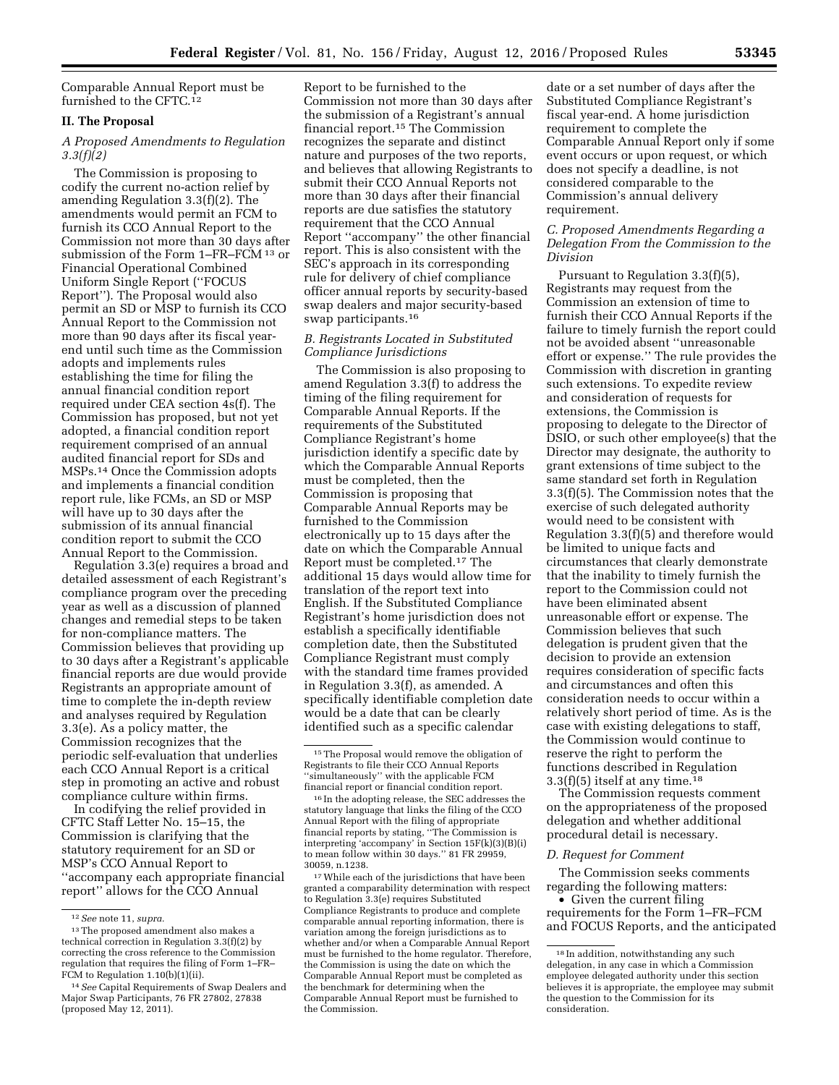Comparable Annual Report must be furnished to the CFTC.12

#### **II. The Proposal**

## *A Proposed Amendments to Regulation 3.3(f)(2)*

The Commission is proposing to codify the current no-action relief by amending Regulation 3.3(f)(2). The amendments would permit an FCM to furnish its CCO Annual Report to the Commission not more than 30 days after submission of the Form 1–FR–FCM 13 or Financial Operational Combined Uniform Single Report (''FOCUS Report''). The Proposal would also permit an SD or MSP to furnish its CCO Annual Report to the Commission not more than 90 days after its fiscal yearend until such time as the Commission adopts and implements rules establishing the time for filing the annual financial condition report required under CEA section 4s(f). The Commission has proposed, but not yet adopted, a financial condition report requirement comprised of an annual audited financial report for SDs and MSPs.14 Once the Commission adopts and implements a financial condition report rule, like FCMs, an SD or MSP will have up to 30 days after the submission of its annual financial condition report to submit the CCO Annual Report to the Commission.

Regulation 3.3(e) requires a broad and detailed assessment of each Registrant's compliance program over the preceding year as well as a discussion of planned changes and remedial steps to be taken for non-compliance matters. The Commission believes that providing up to 30 days after a Registrant's applicable financial reports are due would provide Registrants an appropriate amount of time to complete the in-depth review and analyses required by Regulation 3.3(e). As a policy matter, the Commission recognizes that the periodic self-evaluation that underlies each CCO Annual Report is a critical step in promoting an active and robust compliance culture within firms.

In codifying the relief provided in CFTC Staff Letter No. 15–15, the Commission is clarifying that the statutory requirement for an SD or MSP's CCO Annual Report to ''accompany each appropriate financial report'' allows for the CCO Annual

Report to be furnished to the Commission not more than 30 days after the submission of a Registrant's annual financial report.15 The Commission recognizes the separate and distinct nature and purposes of the two reports, and believes that allowing Registrants to submit their CCO Annual Reports not more than 30 days after their financial reports are due satisfies the statutory requirement that the CCO Annual Report ''accompany'' the other financial report. This is also consistent with the SEC's approach in its corresponding rule for delivery of chief compliance officer annual reports by security-based swap dealers and major security-based swap participants.16

## *B. Registrants Located in Substituted Compliance Jurisdictions*

The Commission is also proposing to amend Regulation 3.3(f) to address the timing of the filing requirement for Comparable Annual Reports. If the requirements of the Substituted Compliance Registrant's home jurisdiction identify a specific date by which the Comparable Annual Reports must be completed, then the Commission is proposing that Comparable Annual Reports may be furnished to the Commission electronically up to 15 days after the date on which the Comparable Annual Report must be completed.17 The additional 15 days would allow time for translation of the report text into English. If the Substituted Compliance Registrant's home jurisdiction does not establish a specifically identifiable completion date, then the Substituted Compliance Registrant must comply with the standard time frames provided in Regulation 3.3(f), as amended. A specifically identifiable completion date would be a date that can be clearly identified such as a specific calendar

17While each of the jurisdictions that have been granted a comparability determination with respect to Regulation 3.3(e) requires Substituted Compliance Registrants to produce and complete comparable annual reporting information, there is variation among the foreign jurisdictions as to whether and/or when a Comparable Annual Report must be furnished to the home regulator. Therefore, the Commission is using the date on which the Comparable Annual Report must be completed as the benchmark for determining when the Comparable Annual Report must be furnished to the Commission.

date or a set number of days after the Substituted Compliance Registrant's fiscal year-end. A home jurisdiction requirement to complete the Comparable Annual Report only if some event occurs or upon request, or which does not specify a deadline, is not considered comparable to the Commission's annual delivery requirement.

## *C. Proposed Amendments Regarding a Delegation From the Commission to the Division*

Pursuant to Regulation 3.3(f)(5), Registrants may request from the Commission an extension of time to furnish their CCO Annual Reports if the failure to timely furnish the report could not be avoided absent ''unreasonable effort or expense.'' The rule provides the Commission with discretion in granting such extensions. To expedite review and consideration of requests for extensions, the Commission is proposing to delegate to the Director of DSIO, or such other employee(s) that the Director may designate, the authority to grant extensions of time subject to the same standard set forth in Regulation 3.3(f)(5). The Commission notes that the exercise of such delegated authority would need to be consistent with Regulation 3.3(f)(5) and therefore would be limited to unique facts and circumstances that clearly demonstrate that the inability to timely furnish the report to the Commission could not have been eliminated absent unreasonable effort or expense. The Commission believes that such delegation is prudent given that the decision to provide an extension requires consideration of specific facts and circumstances and often this consideration needs to occur within a relatively short period of time. As is the case with existing delegations to staff, the Commission would continue to reserve the right to perform the functions described in Regulation  $3.3(f)(5)$  itself at any time.<sup>18</sup>

The Commission requests comment on the appropriateness of the proposed delegation and whether additional procedural detail is necessary.

#### *D. Request for Comment*

The Commission seeks comments regarding the following matters:

• Given the current filing requirements for the Form 1–FR–FCM and FOCUS Reports, and the anticipated

<sup>12</sup>*See* note 11, *supra.* 

<sup>13</sup>The proposed amendment also makes a technical correction in Regulation 3.3(f)(2) by correcting the cross reference to the Commission regulation that requires the filing of Form 1–FR– FCM to Regulation 1.10(b)(1)(ii).

<sup>14</sup>*See* Capital Requirements of Swap Dealers and Major Swap Participants, 76 FR 27802, 27838 (proposed May 12, 2011).

<sup>15</sup>The Proposal would remove the obligation of Registrants to file their CCO Annual Reports ''simultaneously'' with the applicable FCM financial report or financial condition report.

<sup>16</sup> In the adopting release, the SEC addresses the statutory language that links the filing of the CCO Annual Report with the filing of appropriate financial reports by stating, ''The Commission is interpreting 'accompany' in Section 15F(k)(3)(B)(i) to mean follow within 30 days.'' 81 FR 29959, 30059, n.1238.

<sup>18</sup> In addition, notwithstanding any such delegation, in any case in which a Commission employee delegated authority under this section believes it is appropriate, the employee may submit the question to the Commission for its consideration.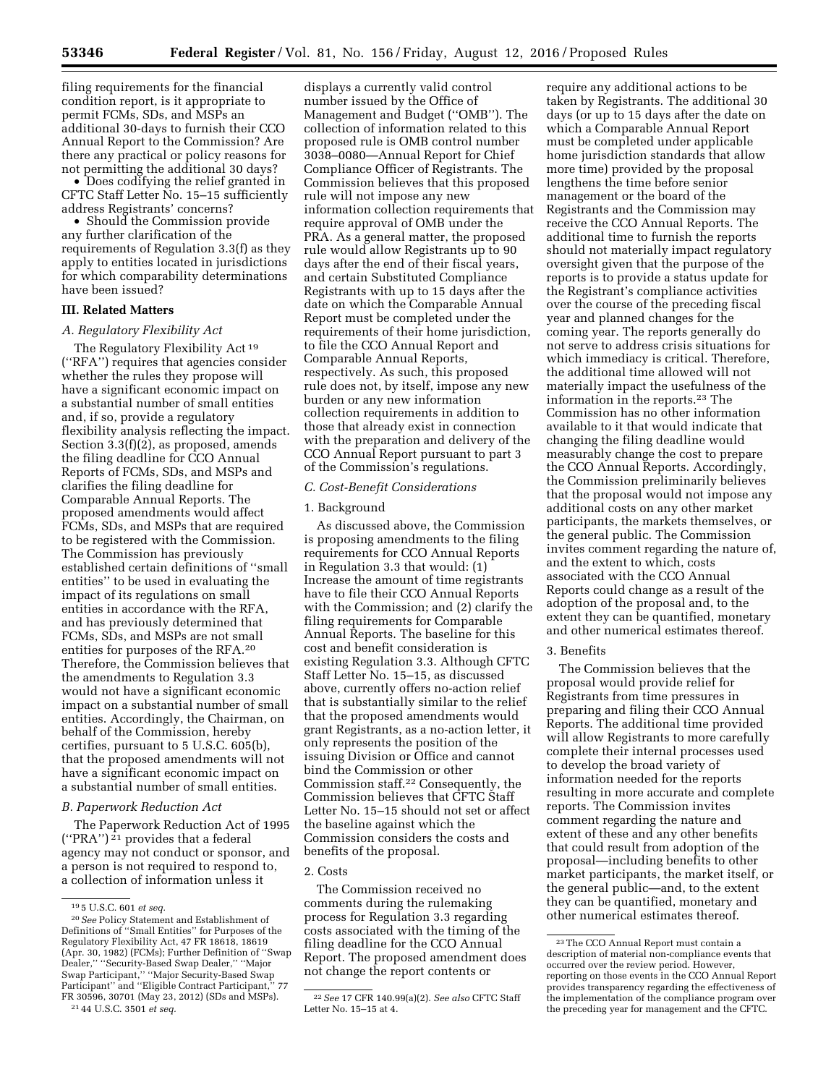filing requirements for the financial condition report, is it appropriate to permit FCMs, SDs, and MSPs an additional 30-days to furnish their CCO Annual Report to the Commission? Are there any practical or policy reasons for not permitting the additional 30 days?

• Does codifying the relief granted in CFTC Staff Letter No. 15–15 sufficiently address Registrants' concerns?

• Should the Commission provide any further clarification of the requirements of Regulation 3.3(f) as they apply to entities located in jurisdictions for which comparability determinations have been issued?

#### **III. Related Matters**

#### *A. Regulatory Flexibility Act*

The Regulatory Flexibility Act 19 (''RFA'') requires that agencies consider whether the rules they propose will have a significant economic impact on a substantial number of small entities and, if so, provide a regulatory flexibility analysis reflecting the impact. Section 3.3(f)(2), as proposed, amends the filing deadline for CCO Annual Reports of FCMs, SDs, and MSPs and clarifies the filing deadline for Comparable Annual Reports. The proposed amendments would affect FCMs, SDs, and MSPs that are required to be registered with the Commission. The Commission has previously established certain definitions of ''small entities'' to be used in evaluating the impact of its regulations on small entities in accordance with the RFA, and has previously determined that FCMs, SDs, and MSPs are not small entities for purposes of the RFA.20 Therefore, the Commission believes that the amendments to Regulation 3.3 would not have a significant economic impact on a substantial number of small entities. Accordingly, the Chairman, on behalf of the Commission, hereby certifies, pursuant to 5 U.S.C. 605(b), that the proposed amendments will not have a significant economic impact on a substantial number of small entities.

## *B. Paperwork Reduction Act*

The Paperwork Reduction Act of 1995 (''PRA'') 21 provides that a federal agency may not conduct or sponsor, and a person is not required to respond to, a collection of information unless it

displays a currently valid control number issued by the Office of Management and Budget (''OMB''). The collection of information related to this proposed rule is OMB control number 3038–0080—Annual Report for Chief Compliance Officer of Registrants. The Commission believes that this proposed rule will not impose any new information collection requirements that require approval of OMB under the PRA. As a general matter, the proposed rule would allow Registrants up to 90 days after the end of their fiscal years, and certain Substituted Compliance Registrants with up to 15 days after the date on which the Comparable Annual Report must be completed under the requirements of their home jurisdiction, to file the CCO Annual Report and Comparable Annual Reports, respectively. As such, this proposed rule does not, by itself, impose any new burden or any new information collection requirements in addition to those that already exist in connection with the preparation and delivery of the CCO Annual Report pursuant to part 3 of the Commission's regulations.

#### *C. Cost-Benefit Considerations*

#### 1. Background

As discussed above, the Commission is proposing amendments to the filing requirements for CCO Annual Reports in Regulation 3.3 that would: (1) Increase the amount of time registrants have to file their CCO Annual Reports with the Commission; and (2) clarify the filing requirements for Comparable Annual Reports. The baseline for this cost and benefit consideration is existing Regulation 3.3. Although CFTC Staff Letter No. 15–15, as discussed above, currently offers no-action relief that is substantially similar to the relief that the proposed amendments would grant Registrants, as a no-action letter, it only represents the position of the issuing Division or Office and cannot bind the Commission or other Commission staff.22 Consequently, the Commission believes that CFTC Staff Letter No. 15–15 should not set or affect the baseline against which the Commission considers the costs and benefits of the proposal.

## 2. Costs

The Commission received no comments during the rulemaking process for Regulation 3.3 regarding costs associated with the timing of the filing deadline for the CCO Annual Report. The proposed amendment does not change the report contents or

require any additional actions to be taken by Registrants. The additional 30 days (or up to 15 days after the date on which a Comparable Annual Report must be completed under applicable home jurisdiction standards that allow more time) provided by the proposal lengthens the time before senior management or the board of the Registrants and the Commission may receive the CCO Annual Reports. The additional time to furnish the reports should not materially impact regulatory oversight given that the purpose of the reports is to provide a status update for the Registrant's compliance activities over the course of the preceding fiscal year and planned changes for the coming year. The reports generally do not serve to address crisis situations for which immediacy is critical. Therefore, the additional time allowed will not materially impact the usefulness of the information in the reports.23 The Commission has no other information available to it that would indicate that changing the filing deadline would measurably change the cost to prepare the CCO Annual Reports. Accordingly, the Commission preliminarily believes that the proposal would not impose any additional costs on any other market participants, the markets themselves, or the general public. The Commission invites comment regarding the nature of, and the extent to which, costs associated with the CCO Annual Reports could change as a result of the adoption of the proposal and, to the extent they can be quantified, monetary and other numerical estimates thereof.

### 3. Benefits

The Commission believes that the proposal would provide relief for Registrants from time pressures in preparing and filing their CCO Annual Reports. The additional time provided will allow Registrants to more carefully complete their internal processes used to develop the broad variety of information needed for the reports resulting in more accurate and complete reports. The Commission invites comment regarding the nature and extent of these and any other benefits that could result from adoption of the proposal—including benefits to other market participants, the market itself, or the general public—and, to the extent they can be quantified, monetary and other numerical estimates thereof.

<sup>19</sup> 5 U.S.C. 601 *et seq.* 

<sup>20</sup>*See* Policy Statement and Establishment of Definitions of ''Small Entities'' for Purposes of the Regulatory Flexibility Act, 47 FR 18618, 18619 (Apr. 30, 1982) (FCMs); Further Definition of ''Swap Dealer,'' ''Security-Based Swap Dealer,'' ''Major Swap Participant,'' ''Major Security-Based Swap Participant'' and ''Eligible Contract Participant,'' 77 FR 30596, 30701 (May 23, 2012) (SDs and MSPs). 21 44 U.S.C. 3501 *et seq.* 

<sup>22</sup>*See* 17 CFR 140.99(a)(2). *See also* CFTC Staff Letter No. 15–15 at 4.

<sup>23</sup>The CCO Annual Report must contain a description of material non-compliance events that occurred over the review period. However, reporting on those events in the CCO Annual Report provides transparency regarding the effectiveness of the implementation of the compliance program over the preceding year for management and the CFTC.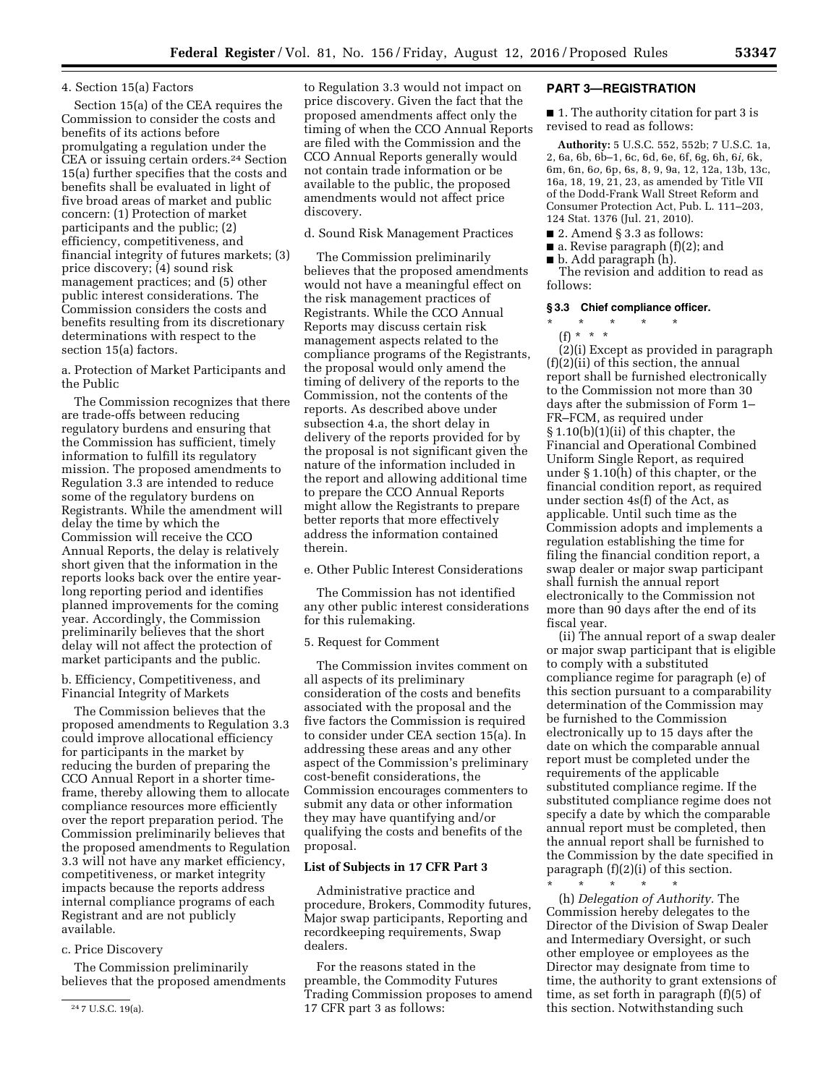## 4. Section 15(a) Factors

Section 15(a) of the CEA requires the Commission to consider the costs and benefits of its actions before promulgating a regulation under the CEA or issuing certain orders.24 Section 15(a) further specifies that the costs and benefits shall be evaluated in light of five broad areas of market and public concern: (1) Protection of market participants and the public; (2) efficiency, competitiveness, and financial integrity of futures markets; (3) price discovery; (4) sound risk management practices; and (5) other public interest considerations. The Commission considers the costs and benefits resulting from its discretionary determinations with respect to the section 15(a) factors.

a. Protection of Market Participants and the Public

The Commission recognizes that there are trade-offs between reducing regulatory burdens and ensuring that the Commission has sufficient, timely information to fulfill its regulatory mission. The proposed amendments to Regulation 3.3 are intended to reduce some of the regulatory burdens on Registrants. While the amendment will delay the time by which the Commission will receive the CCO Annual Reports, the delay is relatively short given that the information in the reports looks back over the entire yearlong reporting period and identifies planned improvements for the coming year. Accordingly, the Commission preliminarily believes that the short delay will not affect the protection of market participants and the public.

b. Efficiency, Competitiveness, and Financial Integrity of Markets

The Commission believes that the proposed amendments to Regulation 3.3 could improve allocational efficiency for participants in the market by reducing the burden of preparing the CCO Annual Report in a shorter timeframe, thereby allowing them to allocate compliance resources more efficiently over the report preparation period. The Commission preliminarily believes that the proposed amendments to Regulation 3.3 will not have any market efficiency, competitiveness, or market integrity impacts because the reports address internal compliance programs of each Registrant and are not publicly available.

#### c. Price Discovery

The Commission preliminarily believes that the proposed amendments to Regulation 3.3 would not impact on price discovery. Given the fact that the proposed amendments affect only the timing of when the CCO Annual Reports are filed with the Commission and the CCO Annual Reports generally would not contain trade information or be available to the public, the proposed amendments would not affect price discovery.

## d. Sound Risk Management Practices

The Commission preliminarily believes that the proposed amendments would not have a meaningful effect on the risk management practices of Registrants. While the CCO Annual Reports may discuss certain risk management aspects related to the compliance programs of the Registrants, the proposal would only amend the timing of delivery of the reports to the Commission, not the contents of the reports. As described above under subsection 4.a, the short delay in delivery of the reports provided for by the proposal is not significant given the nature of the information included in the report and allowing additional time to prepare the CCO Annual Reports might allow the Registrants to prepare better reports that more effectively address the information contained therein.

e. Other Public Interest Considerations

The Commission has not identified any other public interest considerations for this rulemaking.

## 5. Request for Comment

The Commission invites comment on all aspects of its preliminary consideration of the costs and benefits associated with the proposal and the five factors the Commission is required to consider under CEA section 15(a). In addressing these areas and any other aspect of the Commission's preliminary cost-benefit considerations, the Commission encourages commenters to submit any data or other information they may have quantifying and/or qualifying the costs and benefits of the proposal.

#### **List of Subjects in 17 CFR Part 3**

Administrative practice and procedure, Brokers, Commodity futures, Major swap participants, Reporting and recordkeeping requirements, Swap dealers.

For the reasons stated in the preamble, the Commodity Futures Trading Commission proposes to amend 17 CFR part 3 as follows:

## **PART 3—REGISTRATION**

■ 1. The authority citation for part 3 is revised to read as follows:

**Authority:** 5 U.S.C. 552, 552b; 7 U.S.C. 1a, 2, 6a, 6b, 6b–1, 6c, 6d, 6e, 6f, 6g, 6h, 6*i,* 6k, 6m, 6n, 6*o,* 6p, 6s, 8, 9, 9a, 12, 12a, 13b, 13c, 16a, 18, 19, 21, 23, as amended by Title VII of the Dodd-Frank Wall Street Reform and Consumer Protection Act, Pub. L. 111–203, 124 Stat. 1376 (Jul. 21, 2010).

- 2. Amend § 3.3 as follows:
- $\blacksquare$  a. Revise paragraph (f)(2); and
- b. Add paragraph (h).

The revision and addition to read as follows:

#### **§ 3.3 Chief compliance officer.**

- \* \* \* \* \*
	- (f) \* \* \*

(2)(i) Except as provided in paragraph (f)(2)(ii) of this section, the annual report shall be furnished electronically to the Commission not more than 30 days after the submission of Form 1– FR–FCM, as required under § 1.10(b)(1)(ii) of this chapter, the Financial and Operational Combined Uniform Single Report, as required under § 1.10(h) of this chapter, or the financial condition report, as required under section 4s(f) of the Act, as applicable. Until such time as the Commission adopts and implements a regulation establishing the time for filing the financial condition report, a swap dealer or major swap participant shall furnish the annual report electronically to the Commission not more than 90 days after the end of its fiscal year.

(ii) The annual report of a swap dealer or major swap participant that is eligible to comply with a substituted compliance regime for paragraph (e) of this section pursuant to a comparability determination of the Commission may be furnished to the Commission electronically up to 15 days after the date on which the comparable annual report must be completed under the requirements of the applicable substituted compliance regime. If the substituted compliance regime does not specify a date by which the comparable annual report must be completed, then the annual report shall be furnished to the Commission by the date specified in paragraph (f)(2)(i) of this section.

\* \* \* \* \* (h) *Delegation of Authority.* The Commission hereby delegates to the Director of the Division of Swap Dealer and Intermediary Oversight, or such other employee or employees as the Director may designate from time to time, the authority to grant extensions of time, as set forth in paragraph (f)(5) of this section. Notwithstanding such

<sup>24</sup> 7 U.S.C. 19(a).